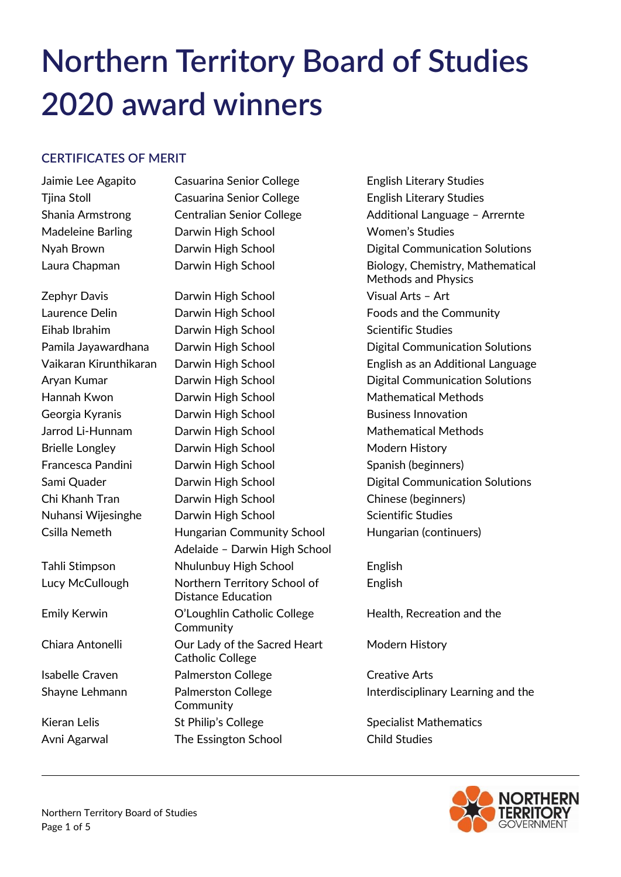# **Northern Territory Board of Studies 2020 award winners**

# **CERTIFICATES OF MERIT**

Jaimie Lee Agapito Casuarina Senior College English Literary Studies Tiina Stoll **Casuarina Senior College** English Literary Studies Madeleine Barling Darwin High School Women's Studies

Zephyr Davis **Darwin High School** Visual Arts - Art Laurence Delin **Darwin High School Community** Foods and the Community Eihab Ibrahim Darwin High School Scientific Studies Hannah Kwon **Darwin High School** Mathematical Methods Georgia Kyranis **Darwin High School** Business Innovation Jarrod Li-Hunnam Darwin High School Mathematical Methods Brielle Longley **Darwin High School** Modern History Francesca Pandini Darwin High School Spanish (beginners) Chi Khanh Tran Darwin High School Chinese (beginners) Nuhansi Wijesinghe Darwin High School Scientific Studies Csilla Nemeth Hungarian Community School Hungarian (continuers) Adelaide – Darwin High School Tahli Stimpson Nhulunbuy High School English Lucy McCullough Northern Territory School of English Distance Education Emily Kerwin O'Loughlin Catholic College Health, Recreation and the **Community** Chiara Antonelli **Chiara Antonelli** Our Lady of the Sacred Heart Modern History Catholic College Isabelle Craven **Palmerston College** Creative Arts **Community** Kieran Lelis St Philip's College Specialist Mathematics Avni Agarwal The Essington School Child Studies

Shania Armstrong Centralian Senior College Additional Language - Arrernte Nyah Brown Darwin High School Digital Communication Solutions Laura Chapman Darwin High School Biology, Chemistry, Mathematical Methods and Physics Pamila Jayawardhana Darwin High School **Digital Communication Solutions** Vaikaran Kirunthikaran Darwin High School English as an Additional Language Aryan Kumar **Darwin High School** Digital Communication Solutions Sami Quader **Darwin High School** Digital Communication Solutions

Shayne Lehmann **Palmerston College Interdisciplinary Learning and the** Interdisciplinary Learning and the

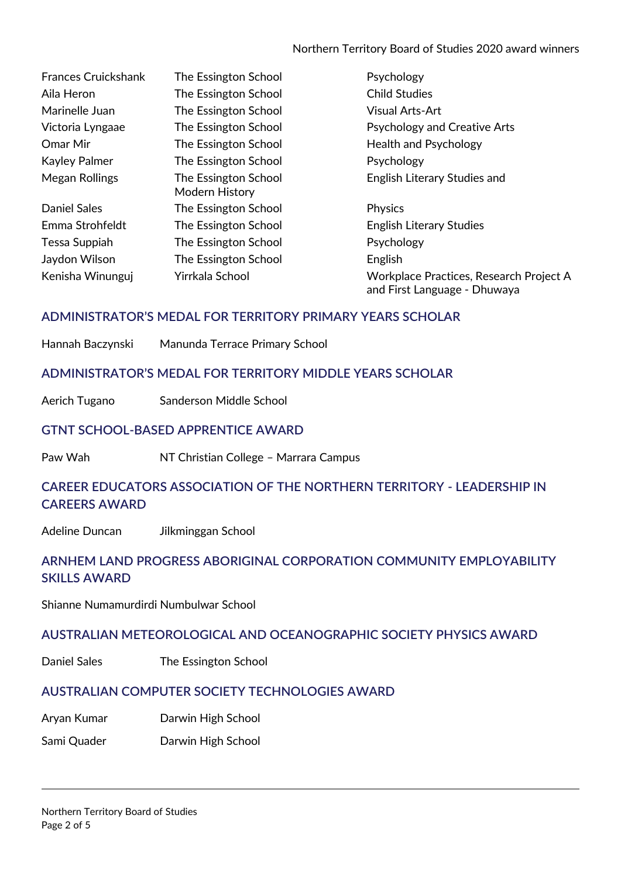Northern Territory Board of Studies 2020 award winners

| <b>Frances Cruickshank</b> | The Essington School                   | Psychology                                                              |
|----------------------------|----------------------------------------|-------------------------------------------------------------------------|
| Aila Heron                 | The Essington School                   | <b>Child Studies</b>                                                    |
| Marinelle Juan             | The Essington School                   | <b>Visual Arts-Art</b>                                                  |
| Victoria Lyngaae           | The Essington School                   | <b>Psychology and Creative Arts</b>                                     |
| Omar Mir                   | The Essington School                   | Health and Psychology                                                   |
| <b>Kayley Palmer</b>       | The Essington School                   | Psychology                                                              |
| Megan Rollings             | The Essington School<br>Modern History | English Literary Studies and                                            |
| <b>Daniel Sales</b>        | The Essington School                   | Physics                                                                 |
| Emma Strohfeldt            | The Essington School                   | <b>English Literary Studies</b>                                         |
| Tessa Suppiah              | The Essington School                   | Psychology                                                              |
| Jaydon Wilson              | The Essington School                   | English                                                                 |
| Kenisha Winunguj           | Yirrkala School                        | Workplace Practices, Research Project A<br>and First Language - Dhuwaya |

## **ADMINISTRATOR'S MEDAL FOR TERRITORY PRIMARY YEARS SCHOLAR**

Hannah Baczynski Manunda Terrace Primary School

#### **ADMINISTRATOR'S MEDAL FOR TERRITORY MIDDLE YEARS SCHOLAR**

Aerich Tugano Sanderson Middle School

#### **GTNT SCHOOL-BASED APPRENTICE AWARD**

Paw Wah **NT Christian College - Marrara Campus** 

## **CAREER EDUCATORS ASSOCIATION OF THE NORTHERN TERRITORY - LEADERSHIP IN CAREERS AWARD**

Adeline Duncan Jilkminggan School

## **ARNHEM LAND PROGRESS ABORIGINAL CORPORATION COMMUNITY EMPLOYABILITY SKILLS AWARD**

Shianne Numamurdirdi Numbulwar School

#### **AUSTRALIAN METEOROLOGICAL AND OCEANOGRAPHIC SOCIETY PHYSICS AWARD**

Daniel Sales The Essington School

## **AUSTRALIAN COMPUTER SOCIETY TECHNOLOGIES AWARD**

Aryan Kumar Darwin High School

Sami Quader Darwin High School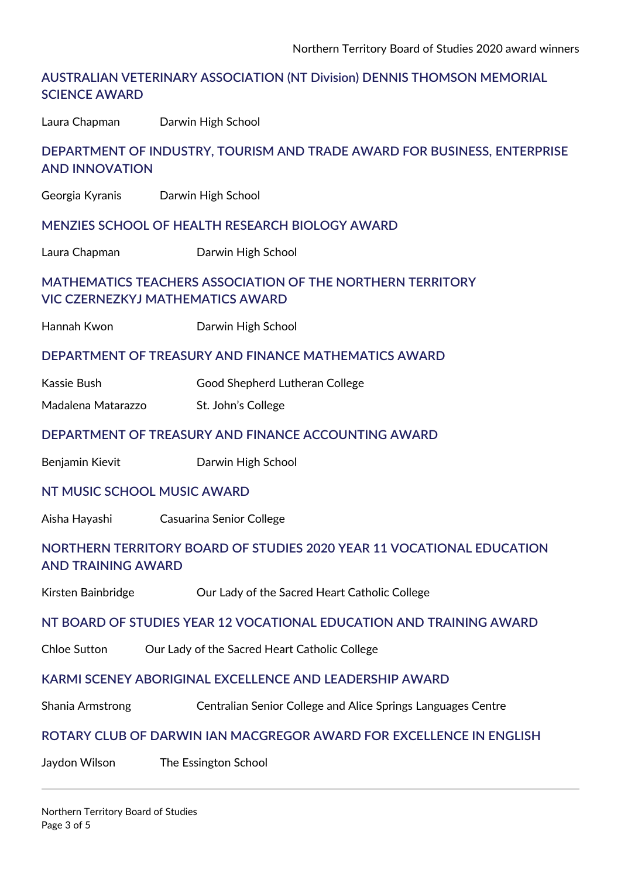## **AUSTRALIAN VETERINARY ASSOCIATION (NT Division) DENNIS THOMSON MEMORIAL SCIENCE AWARD**

Laura Chapman Darwin High School

## **DEPARTMENT OF INDUSTRY, TOURISM AND TRADE AWARD FOR BUSINESS, ENTERPRISE AND INNOVATION**

Georgia Kyranis Darwin High School

#### **MENZIES SCHOOL OF HEALTH RESEARCH BIOLOGY AWARD**

Laura Chapman Darwin High School

## **MATHEMATICS TEACHERS ASSOCIATION OF THE NORTHERN TERRITORY VIC CZERNEZKYJ MATHEMATICS AWARD**

Hannah Kwon Darwin High School

#### **DEPARTMENT OF TREASURY AND FINANCE MATHEMATICS AWARD**

- Kassie Bush Good Shepherd Lutheran College
- Madalena Matarazzo St. John's College

#### **DEPARTMENT OF TREASURY AND FINANCE ACCOUNTING AWARD**

Benjamin Kievit **Darwin High School** 

#### **NT MUSIC SCHOOL MUSIC AWARD**

Aisha Hayashi Casuarina Senior College

## **NORTHERN TERRITORY BOARD OF STUDIES 2020 YEAR 11 VOCATIONAL EDUCATION AND TRAINING AWARD**

Kirsten Bainbridge **Collect College** Our Lady of the Sacred Heart Catholic College

#### **NT BOARD OF STUDIES YEAR 12 VOCATIONAL EDUCATION AND TRAINING AWARD**

Chloe Sutton Our Lady of the Sacred Heart Catholic College

#### **KARMI SCENEY ABORIGINAL EXCELLENCE AND LEADERSHIP AWARD**

Shania Armstrong Centralian Senior College and Alice Springs Languages Centre

#### **ROTARY CLUB OF DARWIN IAN MACGREGOR AWARD FOR EXCELLENCE IN ENGLISH**

Jaydon Wilson The Essington School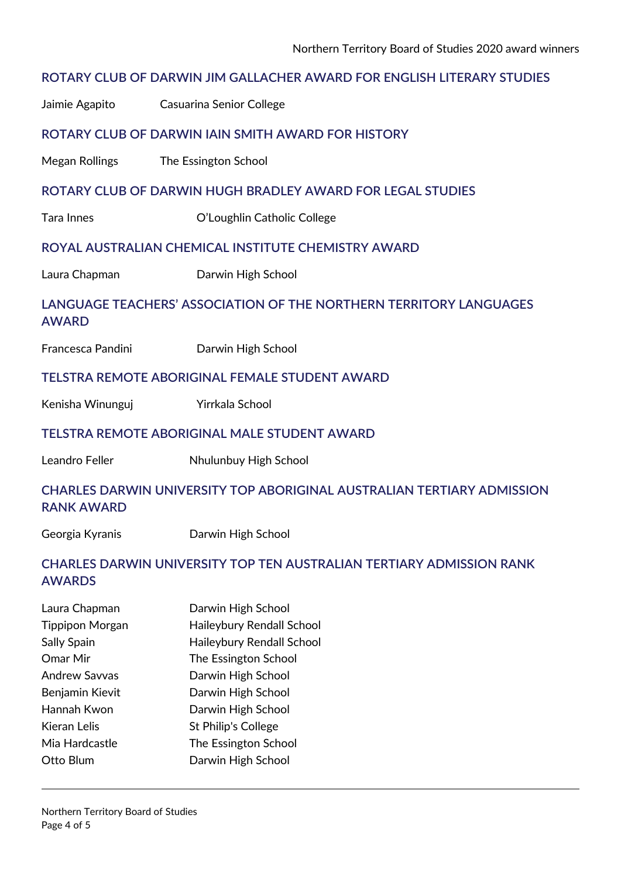## **ROTARY CLUB OF DARWIN JIM GALLACHER AWARD FOR ENGLISH LITERARY STUDIES**

Jaimie Agapito Casuarina Senior College

#### **ROTARY CLUB OF DARWIN IAIN SMITH AWARD FOR HISTORY**

Megan Rollings The Essington School

#### **ROTARY CLUB OF DARWIN HUGH BRADLEY AWARD FOR LEGAL STUDIES**

Tara Innes O'Loughlin Catholic College

#### **ROYAL AUSTRALIAN CHEMICAL INSTITUTE CHEMISTRY AWARD**

Laura Chapman **Darwin High School** 

## **LANGUAGE TEACHERS' ASSOCIATION OF THE NORTHERN TERRITORY LANGUAGES AWARD**

| Francesca Pandini<br>Darwin High School |
|-----------------------------------------|
|-----------------------------------------|

#### **TELSTRA REMOTE ABORIGINAL FEMALE STUDENT AWARD**

Kenisha Winunguj **Yirrkala School** 

#### **TELSTRA REMOTE ABORIGINAL MALE STUDENT AWARD**

Leandro Feller Nhulunbuy High School

## **CHARLES DARWIN UNIVERSITY TOP ABORIGINAL AUSTRALIAN TERTIARY ADMISSION RANK AWARD**

Georgia Kyranis Darwin High School

## **CHARLES DARWIN UNIVERSITY TOP TEN AUSTRALIAN TERTIARY ADMISSION RANK AWARDS**

| Laura Chapman          | Darwin High School         |  |
|------------------------|----------------------------|--|
| <b>Tippipon Morgan</b> | Haileybury Rendall School  |  |
| Sally Spain            | Haileybury Rendall School  |  |
| Omar Mir               | The Essington School       |  |
| <b>Andrew Savvas</b>   | Darwin High School         |  |
| Benjamin Kievit        | Darwin High School         |  |
| Hannah Kwon            | Darwin High School         |  |
| Kieran Lelis           | <b>St Philip's College</b> |  |
| Mia Hardcastle         | The Essington School       |  |
| Otto Blum              | Darwin High School         |  |
|                        |                            |  |